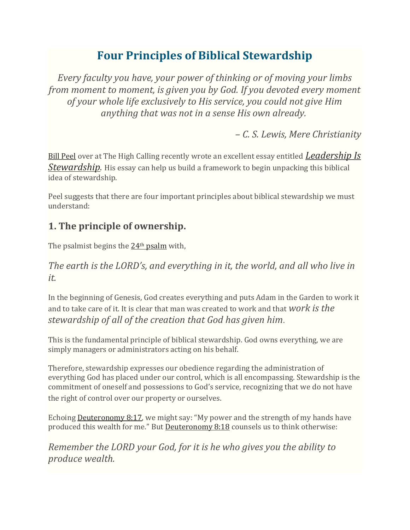# Four Principles of Biblical Stewardship

Every faculty you have, your power of thinking or of moving your limbs from moment to moment, is given you by God. If you devoted every moment of your whole life exclusively to His service, you could not give Him anything that was not in a sense His own already.

– C. S. Lewis, Mere Christianity

Bill Peel over at The High Calling recently wrote an excellent essay entitled *Leadership Is* Stewardship. His essay can help us build a framework to begin unpacking this biblical idea of stewardship.

Peel suggests that there are four important principles about biblical stewardship we must understand:

## 1. The principle of ownership.

The psalmist begins the 24<sup>th</sup> psalm with,

#### The earth is the LORD's, and everything in it, the world, and all who live in it.

In the beginning of Genesis, God creates everything and puts Adam in the Garden to work it and to take care of it. It is clear that man was created to work and that *WOrk is the* stewardship of all of the creation that God has given him.

This is the fundamental principle of biblical stewardship. God owns everything, we are simply managers or administrators acting on his behalf.

Therefore, stewardship expresses our obedience regarding the administration of everything God has placed under our control, which is all encompassing. Stewardship is the commitment of oneself and possessions to God's service, recognizing that we do not have the right of control over our property or ourselves.

Echoing Deuteronomy 8:17, we might say: "My power and the strength of my hands have produced this wealth for me." But **Deuteronomy 8:18** counsels us to think otherwise:

Remember the LORD your God, for it is he who gives you the ability to produce wealth.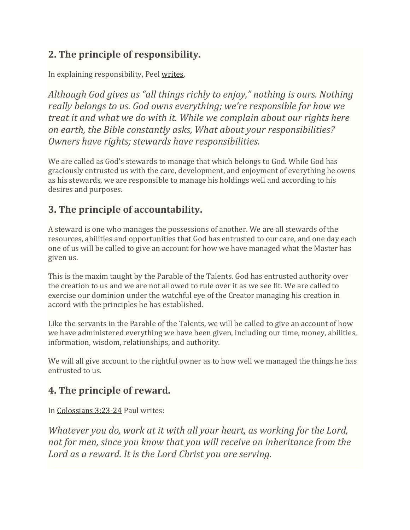#### 2. The principle of responsibility.

In explaining responsibility, Peel writes,

Although God gives us "all things richly to enjoy," nothing is ours. Nothing really belongs to us. God owns everything; we're responsible for how we treat it and what we do with it. While we complain about our rights here on earth, the Bible constantly asks, What about your responsibilities? Owners have rights; stewards have responsibilities.

We are called as God's stewards to manage that which belongs to God. While God has graciously entrusted us with the care, development, and enjoyment of everything he owns as his stewards, we are responsible to manage his holdings well and according to his desires and purposes.

### 3. The principle of accountability.

A steward is one who manages the possessions of another. We are all stewards of the resources, abilities and opportunities that God has entrusted to our care, and one day each one of us will be called to give an account for how we have managed what the Master has given us.

This is the maxim taught by the Parable of the Talents. God has entrusted authority over the creation to us and we are not allowed to rule over it as we see fit. We are called to exercise our dominion under the watchful eye of the Creator managing his creation in accord with the principles he has established.

Like the servants in the Parable of the Talents, we will be called to give an account of how we have administered everything we have been given, including our time, money, abilities, information, wisdom, relationships, and authority.

We will all give account to the rightful owner as to how well we managed the things he has entrusted to us.

### 4. The principle of reward.

In Colossians 3:23-24 Paul writes:

Whatever you do, work at it with all your heart, as working for the Lord, not for men, since you know that you will receive an inheritance from the Lord as a reward. It is the Lord Christ you are serving.